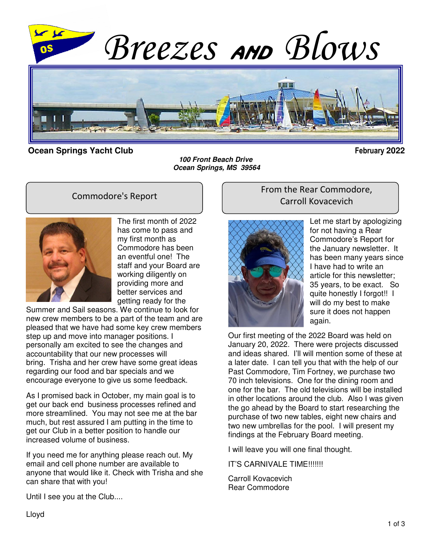

#### **Ocean Springs Yacht Club February 2022**

**100 Front Beach Drive Ocean Springs, MS 39564**

#### Commodore's Report



The first month of 2022 has come to pass and my first month as Commodore has been an eventful one! The staff and your Board are working diligently on providing more and better services and getting ready for the

Summer and Sail seasons. We continue to look for new crew members to be a part of the team and are pleased that we have had some key crew members step up and move into manager positions. I personally am excited to see the changes and accountability that our new processes will bring. Trisha and her crew have some great ideas regarding our food and bar specials and we encourage everyone to give us some feedback.

As I promised back in October, my main goal is to get our back end business processes refined and more streamlined. You may not see me at the bar much, but rest assured I am putting in the time to get our Club in a better position to handle our increased volume of business.

If you need me for anything please reach out. My email and cell phone number are available to anyone that would like it. Check with Trisha and she can share that with you!

#### From the Rear Commodore, Carroll Kovacevich



Let me start by apologizing for not having a Rear Commodore's Report for the January newsletter. It has been many years since I have had to write an article for this newsletter; 35 years, to be exact. So quite honestly I forgot!! I will do my best to make sure it does not happen again.

Our first meeting of the 2022 Board was held on January 20, 2022. There were projects discussed and ideas shared. I'll will mention some of these at a later date. I can tell you that with the help of our Past Commodore, Tim Fortney, we purchase two 70 inch televisions. One for the dining room and one for the bar. The old televisions will be installed in other locations around the club. Also I was given the go ahead by the Board to start researching the purchase of two new tables, eight new chairs and two new umbrellas for the pool. I will present my findings at the February Board meeting.

I will leave you will one final thought.

#### IT'S CARNIVALE TIME!!!!!!!

Carroll Kovacevich Rear Commodore

Until I see you at the Club....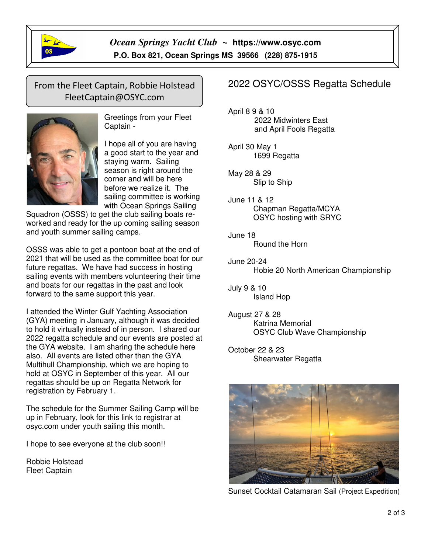

 $\overline{1}$ 

*Ocean Springs Yacht Club ~* **https://www.osyc.com** **P.O. Box 821, Ocean Springs MS 39566 (228) 875-1915** 

## From the Fleet Captain, Robbie Holstead FleetCaptain@OSYC.com



Greetings from your Fleet Captain -

I hope all of you are having a good start to the year and staying warm. Sailing season is right around the corner and will be here before we realize it. The sailing committee is working with Ocean Springs Sailing

Squadron (OSSS) to get the club sailing boats reworked and ready for the up coming sailing season and youth summer sailing camps.

OSSS was able to get a pontoon boat at the end of 2021 that will be used as the committee boat for our future regattas. We have had success in hosting sailing events with members volunteering their time and boats for our regattas in the past and look forward to the same support this year.

I attended the Winter Gulf Yachting Association (GYA) meeting in January, although it was decided to hold it virtually instead of in person. I shared our 2022 regatta schedule and our events are posted at the GYA website. I am sharing the schedule here also. All events are listed other than the GYA Multihull Championship, which we are hoping to hold at OSYC in September of this year. All our regattas should be up on Regatta Network for registration by February 1.

The schedule for the Summer Sailing Camp will be up in February, look for this link to registrar at osyc.com under youth sailing this month.

I hope to see everyone at the club soon!!

Robbie Holstead Fleet Captain

## 2022 OSYC/OSSS Regatta Schedule

April 8 9 & 10 2022 Midwinters East and April Fools Regatta

April 30 May 1 1699 Regatta

May 28 & 29 Slip to Ship

June 11 & 12 Chapman Regatta/MCYA OSYC hosting with SRYC

June 18 Round the Horn

June 20-24 Hobie 20 North American Championship

July 9 & 10 Island Hop

August 27 & 28 Katrina Memorial OSYC Club Wave Championship

October 22 & 23 Shearwater Regatta



Sunset Cocktail Catamaran Sail (Project Expedition)